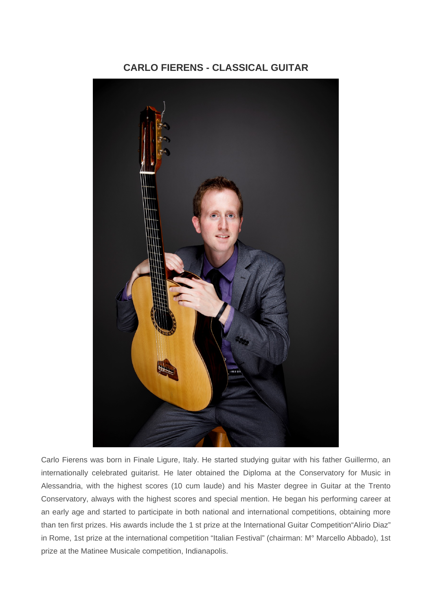## **CARLO FIERENS - CLASSICAL GUITAR**



Carlo Fierens was born in Finale Ligure, Italy. He started studying guitar with his father Guillermo, an internationally celebrated guitarist. He later obtained the Diploma at the Conservatory for Music in Alessandria, with the highest scores (10 cum laude) and his Master degree in Guitar at the Trento Conservatory, always with the highest scores and special mention. He began his performing career at an early age and started to participate in both national and international competitions, obtaining more than ten first prizes. His awards include the 1 st prize at the International Guitar Competition"Alirio Diaz" in Rome, 1st prize at the international competition "Italian Festival" (chairman: M° Marcello Abbado), 1st prize at the Matinee Musicale competition, Indianapolis.